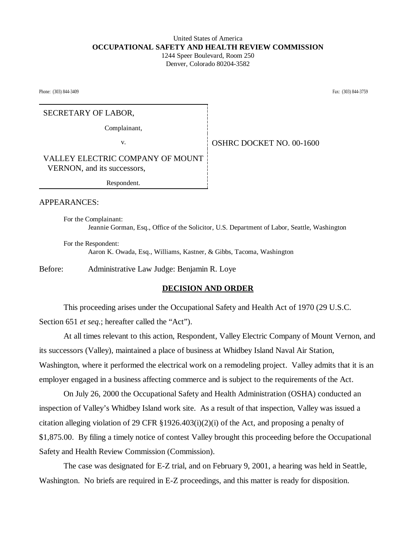## United States of America **OCCUPATIONAL SAFETY AND HEALTH REVIEW COMMISSION** 1244 Speer Boulevard, Room 250

Denver, Colorado 80204-3582

Phone: (303) 844-3409 Fax: (303) 844-3759 Fax: (303) 844-3759

# SECRETARY OF LABOR,

Complainant,

v. OSHRC DOCKET NO. 00-1600

VALLEY ELECTRIC COMPANY OF MOUNT VERNON, and its successors,

Respondent.

APPEARANCES:

For the Complainant: Jeannie Gorman, Esq., Office of the Solicitor, U.S. Department of Labor, Seattle, Washington

For the Respondent: Aaron K. Owada, Esq., Williams, Kastner, & Gibbs, Tacoma, Washington

Before: Administrative Law Judge: Benjamin R. Loye

### **DECISION AND ORDER**

This proceeding arises under the Occupational Safety and Health Act of 1970 (29 U.S.C. Section 651 *et seq.*; hereafter called the "Act").

At all times relevant to this action, Respondent, Valley Electric Company of Mount Vernon, and its successors (Valley), maintained a place of business at Whidbey Island Naval Air Station, Washington, where it performed the electrical work on a remodeling project. Valley admits that it is an employer engaged in a business affecting commerce and is subject to the requirements of the Act.

On July 26, 2000 the Occupational Safety and Health Administration (OSHA) conducted an inspection of Valley's Whidbey Island work site. As a result of that inspection, Valley was issued a citation alleging violation of 29 CFR  $\S 1926.403(i)(2)(i)$  of the Act, and proposing a penalty of \$1,875.00. By filing a timely notice of contest Valley brought this proceeding before the Occupational Safety and Health Review Commission (Commission).

The case was designated for E-Z trial, and on February 9, 2001, a hearing was held in Seattle, Washington. No briefs are required in E-Z proceedings, and this matter is ready for disposition.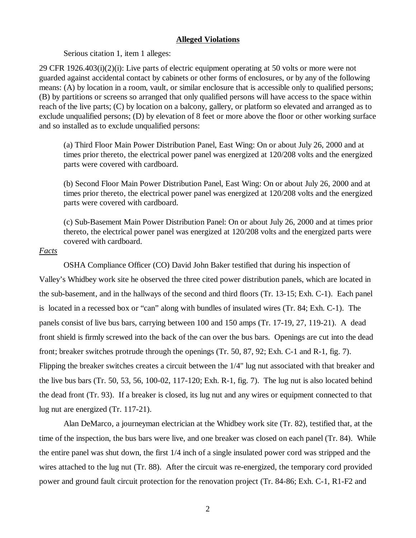#### **Alleged Violations**

Serious citation 1, item 1 alleges:

29 CFR 1926.403(i)(2)(i): Live parts of electric equipment operating at 50 volts or more were not guarded against accidental contact by cabinets or other forms of enclosures, or by any of the following means: (A) by location in a room, vault, or similar enclosure that is accessible only to qualified persons; (B) by partitions or screens so arranged that only qualified persons will have access to the space within reach of the live parts; (C) by location on a balcony, gallery, or platform so elevated and arranged as to exclude unqualified persons; (D) by elevation of 8 feet or more above the floor or other working surface and so installed as to exclude unqualified persons:

(a) Third Floor Main Power Distribution Panel, East Wing: On or about July 26, 2000 and at times prior thereto, the electrical power panel was energized at 120/208 volts and the energized parts were covered with cardboard.

(b) Second Floor Main Power Distribution Panel, East Wing: On or about July 26, 2000 and at times prior thereto, the electrical power panel was energized at 120/208 volts and the energized parts were covered with cardboard.

(c) Sub-Basement Main Power Distribution Panel: On or about July 26, 2000 and at times prior thereto, the electrical power panel was energized at 120/208 volts and the energized parts were covered with cardboard.

## *Facts*

OSHA Compliance Officer (CO) David John Baker testified that during his inspection of Valley's Whidbey work site he observed the three cited power distribution panels, which are located in the sub-basement, and in the hallways of the second and third floors (Tr. 13-15; Exh. C-1). Each panel is located in a recessed box or "can" along with bundles of insulated wires (Tr. 84; Exh. C-1). The panels consist of live bus bars, carrying between 100 and 150 amps (Tr. 17-19, 27, 119-21). A dead front shield is firmly screwed into the back of the can over the bus bars. Openings are cut into the dead front; breaker switches protrude through the openings (Tr. 50, 87, 92; Exh. C-1 and R-1, fig. 7). Flipping the breaker switches creates a circuit between the 1/4" lug nut associated with that breaker and the live bus bars (Tr. 50, 53, 56, 100-02, 117-120; Exh. R-1, fig. 7). The lug nut is also located behind the dead front (Tr. 93). If a breaker is closed, its lug nut and any wires or equipment connected to that lug nut are energized (Tr. 117-21).

Alan DeMarco, a journeyman electrician at the Whidbey work site (Tr. 82), testified that, at the time of the inspection, the bus bars were live, and one breaker was closed on each panel (Tr. 84). While the entire panel was shut down, the first 1/4 inch of a single insulated power cord was stripped and the wires attached to the lug nut (Tr. 88). After the circuit was re-energized, the temporary cord provided power and ground fault circuit protection for the renovation project (Tr. 84-86; Exh. C-1, R1-F2 and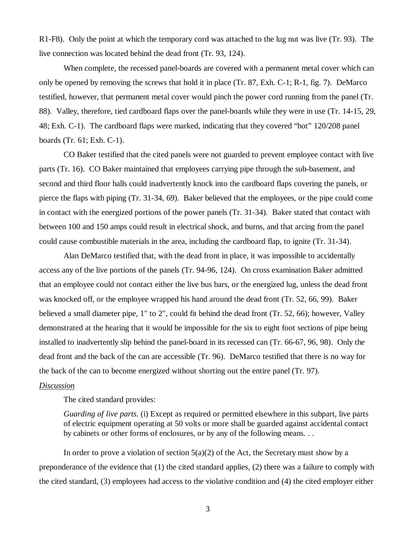R1-F8). Only the point at which the temporary cord was attached to the lug nut was live (Tr. 93). The live connection was located behind the dead front (Tr. 93, 124).

 When complete, the recessed panel-boards are covered with a permanent metal cover which can only be opened by removing the screws that hold it in place (Tr. 87, Exh. C-1; R-1, fig. 7). DeMarco testified, however, that permanent metal cover would pinch the power cord running from the panel (Tr. 88). Valley, therefore, tied cardboard flaps over the panel-boards while they were in use (Tr. 14-15, 29, 48; Exh. C-1). The cardboard flaps were marked, indicating that they covered "hot" 120/208 panel boards (Tr. 61; Exh. C-1).

CO Baker testified that the cited panels were not guarded to prevent employee contact with live parts (Tr. 16). CO Baker maintained that employees carrying pipe through the sub-basement, and second and third floor halls could inadvertently knock into the cardboard flaps covering the panels, or pierce the flaps with piping (Tr. 31-34, 69). Baker believed that the employees, or the pipe could come in contact with the energized portions of the power panels (Tr. 31-34). Baker stated that contact with between 100 and 150 amps could result in electrical shock, and burns, and that arcing from the panel could cause combustible materials in the area, including the cardboard flap, to ignite (Tr. 31-34).

Alan DeMarco testified that, with the dead front in place, it was impossible to accidentally access any of the live portions of the panels (Tr. 94-96, 124). On cross examination Baker admitted that an employee could not contact either the live bus bars, or the energized lug, unless the dead front was knocked off, or the employee wrapped his hand around the dead front (Tr. 52, 66, 99). Baker believed a small diameter pipe, 1" to 2", could fit behind the dead front (Tr. 52, 66); however, Valley demonstrated at the hearing that it would be impossible for the six to eight foot sections of pipe being installed to inadvertently slip behind the panel-board in its recessed can (Tr. 66-67, 96, 98). Only the dead front and the back of the can are accessible (Tr. 96). DeMarco testified that there is no way for the back of the can to become energized without shorting out the entire panel (Tr. 97).

#### *Discussion*

The cited standard provides:

*Guarding of live parts.* (i) Except as required or permitted elsewhere in this subpart, live parts of electric equipment operating at 50 volts or more shall be guarded against accidental contact by cabinets or other forms of enclosures, or by any of the following means. . .

In order to prove a violation of section  $5(a)(2)$  of the Act, the Secretary must show by a preponderance of the evidence that (1) the cited standard applies, (2) there was a failure to comply with the cited standard, (3) employees had access to the violative condition and (4) the cited employer either